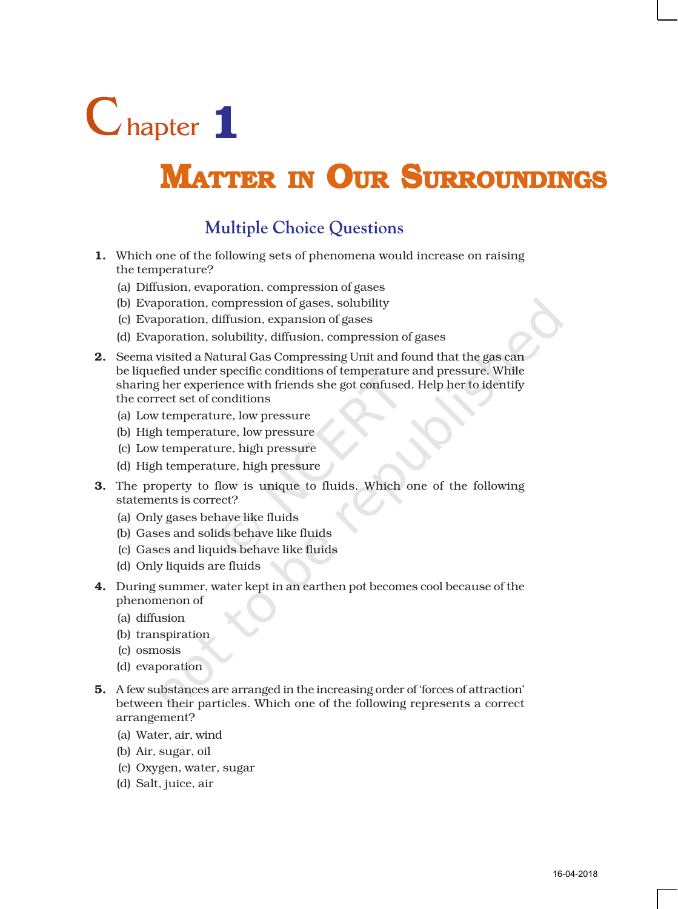

# MATTER IN OUR SURROUNDINGS

## **Multiple Choice Questions**

- 1. Which one of the following sets of phenomena would increase on raising the temperature?
	- (a) Diffusion, evaporation, compression of gases
	- (b) Evaporation, compression of gases, solubility
	- (c) Evaporation, diffusion, expansion of gases
	- (d) Evaporation, solubility, diffusion, compression of gases
- 2. Seema visited a Natural Gas Compressing Unit and found that the gas can be liquefied under specific conditions of temperature and pressure. While sharing her experience with friends she got confused. Help her to identify the correct set of conditions
	- (a) Low temperature, low pressure
	- (b) High temperature, low pressure
	- (c) Low temperature, high pressure
	- (d) High temperature, high pressure
- 3. The property to flow is unique to fluids. Which one of the following statements is correct?
	- (a) Only gases behave like fluids
	- (b) Gases and solids behave like fluids
	- (c) Gases and liquids behave like fluids
	- (d) Only liquids are fluids
- 4. During summer, water kept in an earthen pot becomes cool because of the phenomenon of
	- (a) diffusion
	- (b) transpiration
	- (c) osmosis
	- (d) evaporation
- 5. A few substances are arranged in the increasing order of 'forces of attraction' between their particles. Which one of the following represents a correct arrangement?
	- (a) Water, air, wind
	- (b) Air, sugar, oil
	- (c) Oxygen, water, sugar
	- (d) Salt, juice, air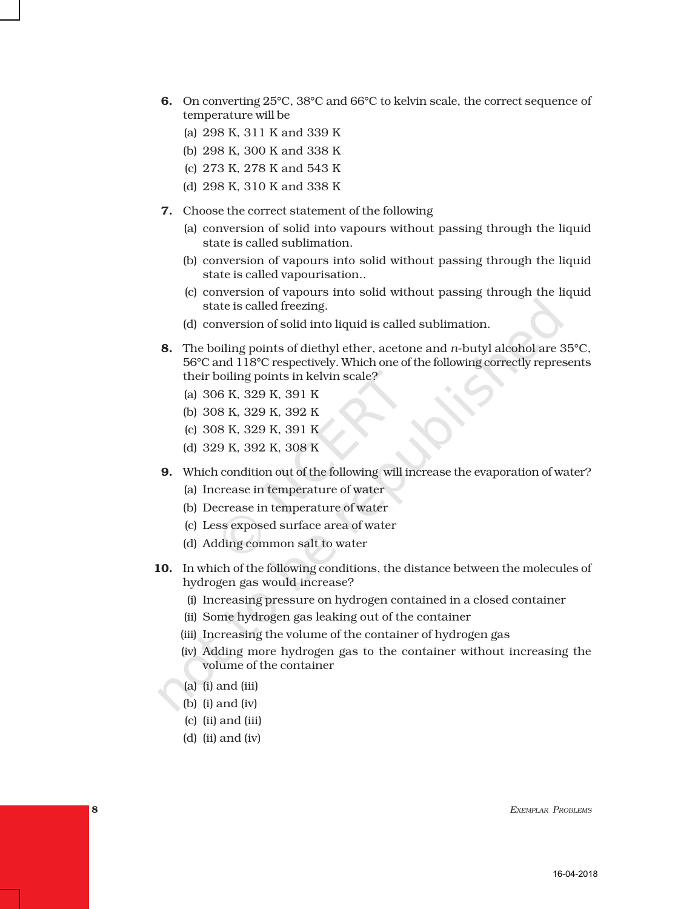- 6. On converting 25°C, 38°C and 66°C to kelvin scale, the correct sequence of temperature will be
	- (a) 298 K, 311 K and 339 K
	- (b) 298 K, 300 K and 338 K
	- (c) 273 K, 278 K and 543 K
	- (d) 298 K, 310 K and 338 K
- 7. Choose the correct statement of the following
	- (a) conversion of solid into vapours without passing through the liquid state is called sublimation.
	- (b) conversion of vapours into solid without passing through the liquid state is called vapourisation..
	- (c) conversion of vapours into solid without passing through the liquid state is called freezing.
	- (d) conversion of solid into liquid is called sublimation.
- 8. The boiling points of diethyl ether, acetone and *n*-butyl alcohol are 35°C, 56°C and 118°C respectively. Which one of the following correctly represents their boiling points in kelvin scale?
	- (a) 306 K, 329 K, 391 K
	- (b) 308 K, 329 K, 392 K
	- (c) 308 K, 329 K, 391 K
	- (d) 329 K, 392 K, 308 K
- 9. Which condition out of the following will increase the evaporation of water?
	- (a) Increase in temperature of water
	- (b) Decrease in temperature of water
	- (c) Less exposed surface area of water
	- (d) Adding common salt to water
- 10. In which of the following conditions, the distance between the molecules of hydrogen gas would increase?
	- (i) Increasing pressure on hydrogen contained in a closed container
	- (ii) Some hydrogen gas leaking out of the container
	- (iii) Increasing the volume of the container of hydrogen gas
	- (iv) Adding more hydrogen gas to the container without increasing the volume of the container
	- (a) (i) and (iii)
	- (b) (i) and (iv)
	- (c) (ii) and (iii)
	- (d) (ii) and (iv)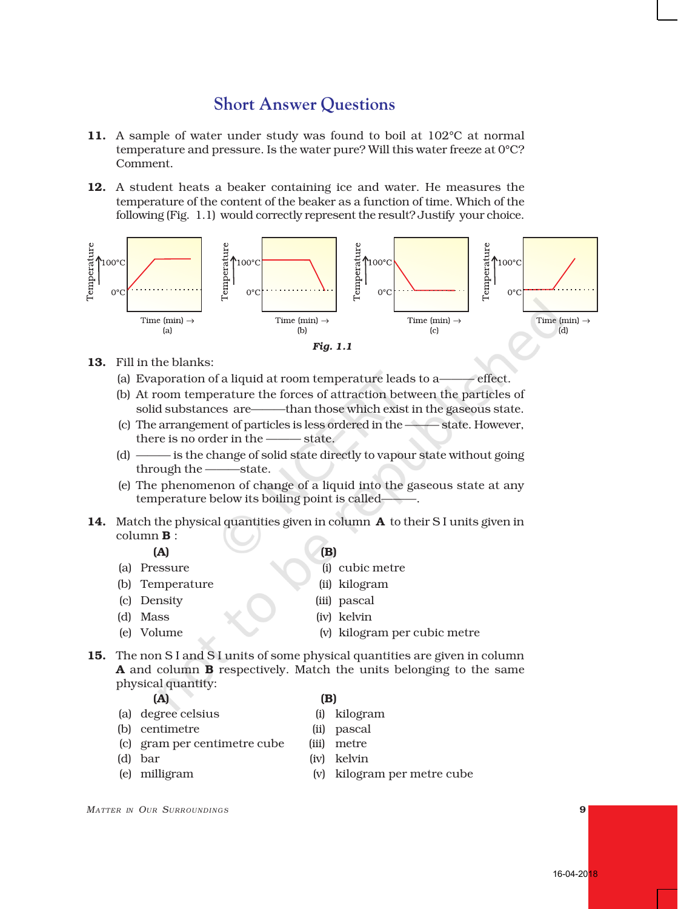## **Short Answer Questions**

- 11. A sample of water under study was found to boil at 102°C at normal temperature and pressure. Is the water pure? Will this water freeze at 0°C? Comment.
- 12. A student heats a beaker containing ice and water. He measures the temperature of the content of the beaker as a function of time. Which of the following (Fig. 1.1) would correctly represent the result? Justify your choice.



- 13. Fill in the blanks:
	- (a) Evaporation of a liquid at room temperature leads to a——— effect.
	- (b) At room temperature the forces of attraction between the particles of solid substances are——than those which exist in the gaseous state.
	- (c) The arrangement of particles is less ordered in the ——— state. However, there is no order in the ——— state.
	- (d) ——— is the change of solid state directly to vapour state without going through the ———state.
	- (e) The phenomenon of change of a liquid into the gaseous state at any temperature below its boiling point is called-
- 14. Match the physical quantities given in column **A** to their S I units given in column B :

#### $(A)$  (B)

- 
- (b) Temperature (ii) kilogram
- 
- 
- 
- (a) Pressure (i) cubic metre
	-
- (c) Density (iii) pascal
- (d) Mass (iv) kelvin
- (e) Volume (v) kilogram per cubic metre
- 15. The non S I and S I units of some physical quantities are given in column A and column B respectively. Match the units belonging to the same physical quantity:

### $(A)$  (B)

- (a) degree celsius (i) kilogram
- (b) centimetre (ii) pascal
- (c) gram per centimetre cube (iii) metre
- 
- 
- 
- 
- 
- 
- (d) bar (iv) kelvin
- (e) milligram (v) kilogram per metre cube
- *MATTER IN OUR SURROUNDING <sup>S</sup>* 9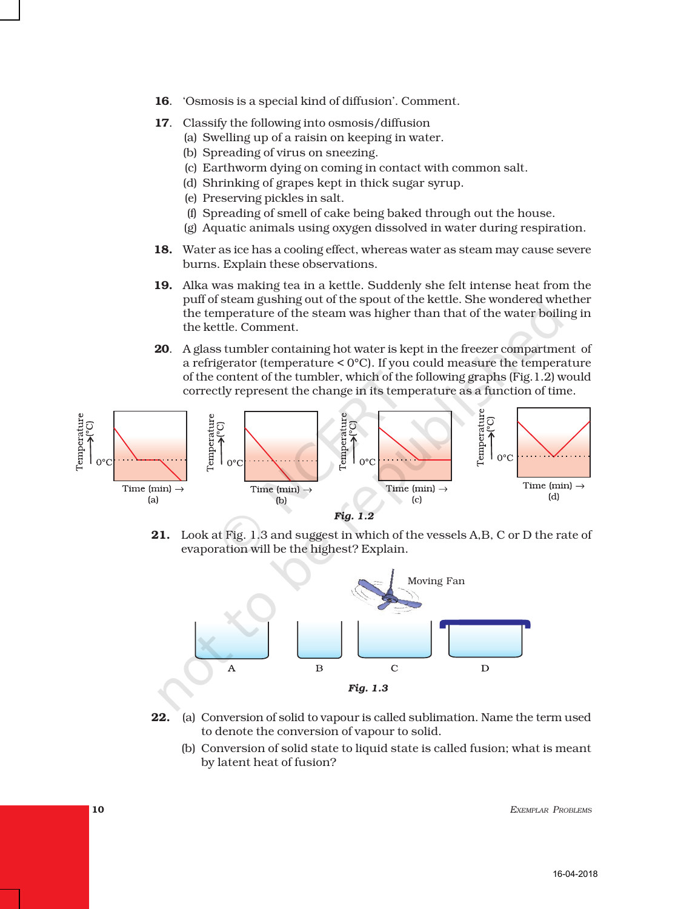- 16. 'Osmosis is a special kind of diffusion'. Comment.
- 17. Classify the following into osmosis/diffusion
	- (a) Swelling up of a raisin on keeping in water.
	- (b) Spreading of virus on sneezing.
	- (c) Earthworm dying on coming in contact with common salt.
	- (d) Shrinking of grapes kept in thick sugar syrup.
	- (e) Preserving pickles in salt.
	- (f) Spreading of smell of cake being baked through out the house.
	- (g) Aquatic animals using oxygen dissolved in water during respiration.
- 18. Water as ice has a cooling effect, whereas water as steam may cause severe burns. Explain these observations.
- 19. Alka was making tea in a kettle. Suddenly she felt intense heat from the puff of steam gushing out of the spout of the kettle. She wondered whether the temperature of the steam was higher than that of the water boiling in the kettle. Comment.
- 20. A glass tumbler containing hot water is kept in the freezer compartment of a refrigerator (temperature < 0°C). If you could measure the temperature of the content of the tumbler, which of the following graphs (Fig.1.2) would correctly represent the change in its temperature as a function of time.



21. Look at Fig. 1.3 and suggest in which of the vessels A,B, C or D the rate of evaporation will be the highest? Explain.



- 22. (a) Conversion of solid to vapour is called sublimation. Name the term used to denote the conversion of vapour to solid.
	- (b) Conversion of solid state to liquid state is called fusion; what is meant by latent heat of fusion?